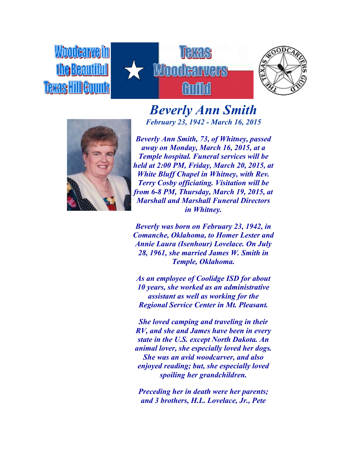



## *Beverly Ann Smith February 23, 1942 - March 16, 2015*



*Beverly Ann Smith, 73, of Whitney, passed away on Monday, March 16, 2015, at a Temple hospital. Funeral services will be held at 2:00 PM, Friday, March 20, 2015, at White Bluff Chapel in Whitney, with Rev. Terry Cosby officiating. Visitation will be from 6-8 PM, Thursday, March 19, 2015, at Marshall and Marshall Funeral Directors in Whitney.*

*Beverly was born on February 23, 1942, in Comanche, Oklahoma, to Homer Lester and Annie Laura (Isenhour) Lovelace. On July 28, 1961, she married James W. Smith in Temple, Oklahoma.*

*As an employee of Coolidge ISD for about 10 years, she worked as an administrative assistant as well as working for the Regional Service Center in Mt. Pleasant.*

*She loved camping and traveling in their RV, and she and James have been in every state in the U.S. except North Dakota. An animal lover, she especially loved her dogs. She was an avid woodcarver, and also enjoyed reading; but, she especially loved spoiling her grandchildren.*

*Preceding her in death were her parents; and 3 brothers, H.L. Lovelace, Jr., Pete*